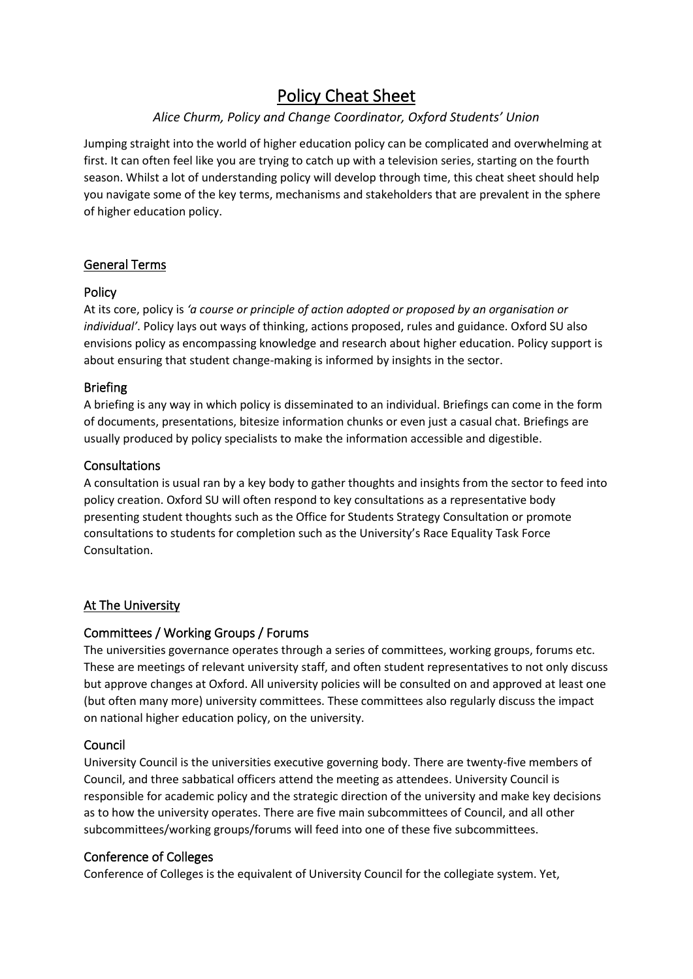# Policy Cheat Sheet

# *Alice Churm, Policy and Change Coordinator, Oxford Students' Union*

Jumping straight into the world of higher education policy can be complicated and overwhelming at first. It can often feel like you are trying to catch up with a television series, starting on the fourth season. Whilst a lot of understanding policy will develop through time, this cheat sheet should help you navigate some of the key terms, mechanisms and stakeholders that are prevalent in the sphere of higher education policy.

# General Terms

# Policy

At its core, policy is *'a course or principle of action adopted or proposed by an organisation or individual'*. Policy lays out ways of thinking, actions proposed, rules and guidance. Oxford SU also envisions policy as encompassing knowledge and research about higher education. Policy support is about ensuring that student change-making is informed by insights in the sector.

# Briefing

A briefing is any way in which policy is disseminated to an individual. Briefings can come in the form of documents, presentations, bitesize information chunks or even just a casual chat. Briefings are usually produced by policy specialists to make the information accessible and digestible.

## **Consultations**

A consultation is usual ran by a key body to gather thoughts and insights from the sector to feed into policy creation. Oxford SU will often respond to key consultations as a representative body presenting student thoughts such as the Office for Students Strategy Consultation or promote consultations to students for completion such as the University's Race Equality Task Force Consultation.

# At The University

# Committees / Working Groups / Forums

The universities governance operates through a series of committees, working groups, forums etc. These are meetings of relevant university staff, and often student representatives to not only discuss but approve changes at Oxford. All university policies will be consulted on and approved at least one (but often many more) university committees. These committees also regularly discuss the impact on national higher education policy, on the university.

# Council

University Council is the universities executive governing body. There are twenty-five members of Council, and three sabbatical officers attend the meeting as attendees. University Council is responsible for academic policy and the strategic direction of the university and make key decisions as to how the university operates. There are five main subcommittees of Council, and all other subcommittees/working groups/forums will feed into one of these five subcommittees.

# Conference of Colleges

Conference of Colleges is the equivalent of University Council for the collegiate system. Yet,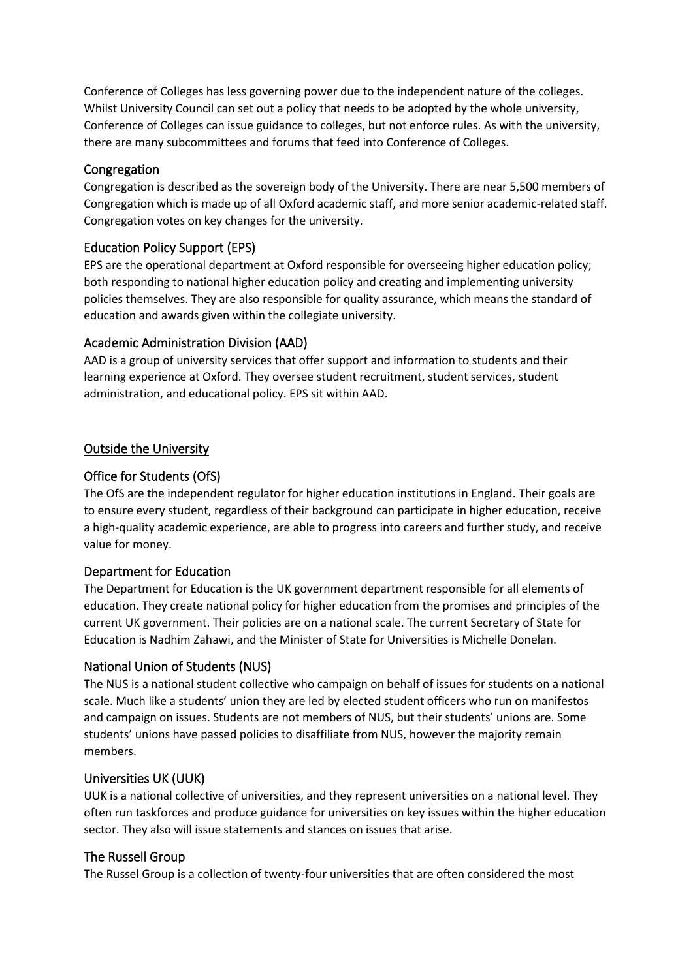Conference of Colleges has less governing power due to the independent nature of the colleges. Whilst University Council can set out a policy that needs to be adopted by the whole university, Conference of Colleges can issue guidance to colleges, but not enforce rules. As with the university, there are many subcommittees and forums that feed into Conference of Colleges.

## Congregation

Congregation is described as the sovereign body of the University. There are near 5,500 members of Congregation which is made up of all Oxford academic staff, and more senior academic-related staff. Congregation votes on key changes for the university.

## Education Policy Support (EPS)

EPS are the operational department at Oxford responsible for overseeing higher education policy; both responding to national higher education policy and creating and implementing university policies themselves. They are also responsible for quality assurance, which means the standard of education and awards given within the collegiate university.

## Academic Administration Division (AAD)

AAD is a group of university services that offer support and information to students and their learning experience at Oxford. They oversee student recruitment, student services, student administration, and educational policy. EPS sit within AAD.

## Outside the University

## Office for Students (OfS)

The OfS are the independent regulator for higher education institutions in England. Their goals are to ensure every student, regardless of their background can participate in higher education, receive a high-quality academic experience, are able to progress into careers and further study, and receive value for money.

#### Department for Education

The Department for Education is the UK government department responsible for all elements of education. They create national policy for higher education from the promises and principles of the current UK government. Their policies are on a national scale. The current Secretary of State for Education is Nadhim Zahawi, and the Minister of State for Universities is Michelle Donelan.

#### National Union of Students (NUS)

The NUS is a national student collective who campaign on behalf of issues for students on a national scale. Much like a students' union they are led by elected student officers who run on manifestos and campaign on issues. Students are not members of NUS, but their students' unions are. Some students' unions have passed policies to disaffiliate from NUS, however the majority remain members.

#### Universities UK (UUK)

UUK is a national collective of universities, and they represent universities on a national level. They often run taskforces and produce guidance for universities on key issues within the higher education sector. They also will issue statements and stances on issues that arise.

#### The Russell Group

The Russel Group is a collection of twenty-four universities that are often considered the most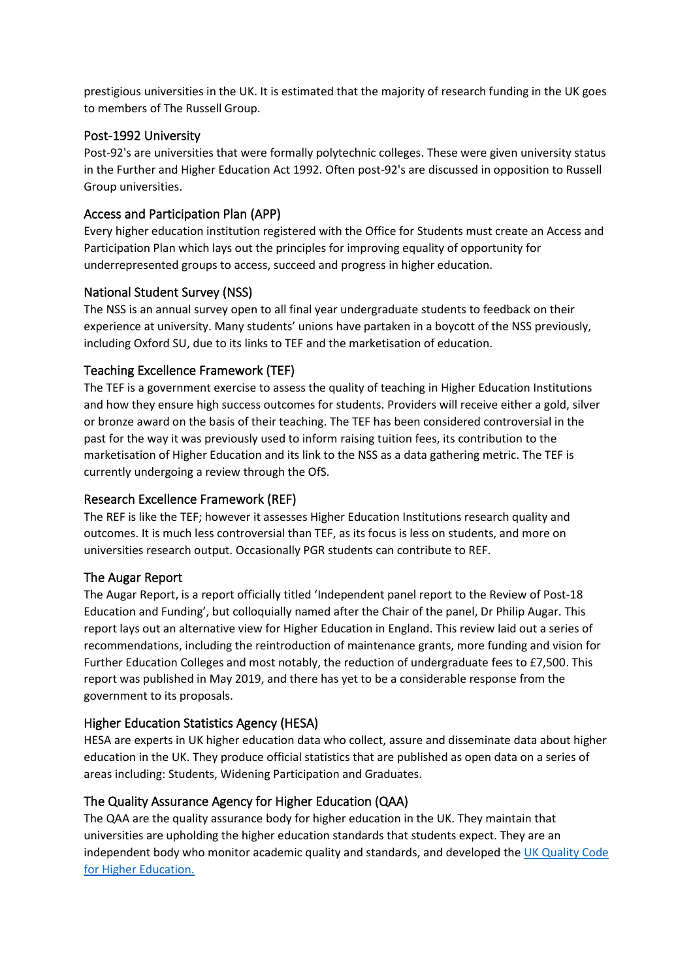prestigious universities in the UK. It is estimated that the majority of research funding in the UK goes to members of The Russell Group.

## Post-1992 University

Post-92's are universities that were formally polytechnic colleges. These were given university status in the Further and Higher Education Act 1992. Often post-92's are discussed in opposition to Russell Group universities.

## Access and Participation Plan (APP)

Every higher education institution registered with the Office for Students must create an Access and Participation Plan which lays out the principles for improving equality of opportunity for underrepresented groups to access, succeed and progress in higher education.

## National Student Survey (NSS)

The NSS is an annual survey open to all final year undergraduate students to feedback on their experience at university. Many students' unions have partaken in a boycott of the NSS previously, including Oxford SU, due to its links to TEF and the marketisation of education.

## Teaching Excellence Framework (TEF)

The TEF is a government exercise to assess the quality of teaching in Higher Education Institutions and how they ensure high success outcomes for students. Providers will receive either a gold, silver or bronze award on the basis of their teaching. The TEF has been considered controversial in the past for the way it was previously used to inform raising tuition fees, its contribution to the marketisation of Higher Education and its link to the NSS as a data gathering metric. The TEF is currently undergoing a review through the OfS.

#### Research Excellence Framework (REF)

The REF is like the TEF; however it assesses Higher Education Institutions research quality and outcomes. It is much less controversial than TEF, as its focus is less on students, and more on universities research output. Occasionally PGR students can contribute to REF.

#### The Augar Report

The Augar Report, is a report officially titled 'Independent panel report to the Review of Post-18 Education and Funding', but colloquially named after the Chair of the panel, Dr Philip Augar. This report lays out an alternative view for Higher Education in England. This review laid out a series of recommendations, including the reintroduction of maintenance grants, more funding and vision for Further Education Colleges and most notably, the reduction of undergraduate fees to £7,500. This report was published in May 2019, and there has yet to be a considerable response from the government to its proposals.

# Higher Education Statistics Agency (HESA)

HESA are experts in UK higher education data who collect, assure and disseminate data about higher education in the UK. They produce official statistics that are published as open data on a series of areas including: Students, Widening Participation and Graduates.

# The Quality Assurance Agency for Higher Education (QAA)

The QAA are the quality assurance body for higher education in the UK. They maintain that universities are upholding the higher education standards that students expect. They are an independent body who monitor academic quality and standards, and developed the [UK Quality Code](https://www.qaa.ac.uk/quality-code)  [for Higher Education.](https://www.qaa.ac.uk/quality-code)